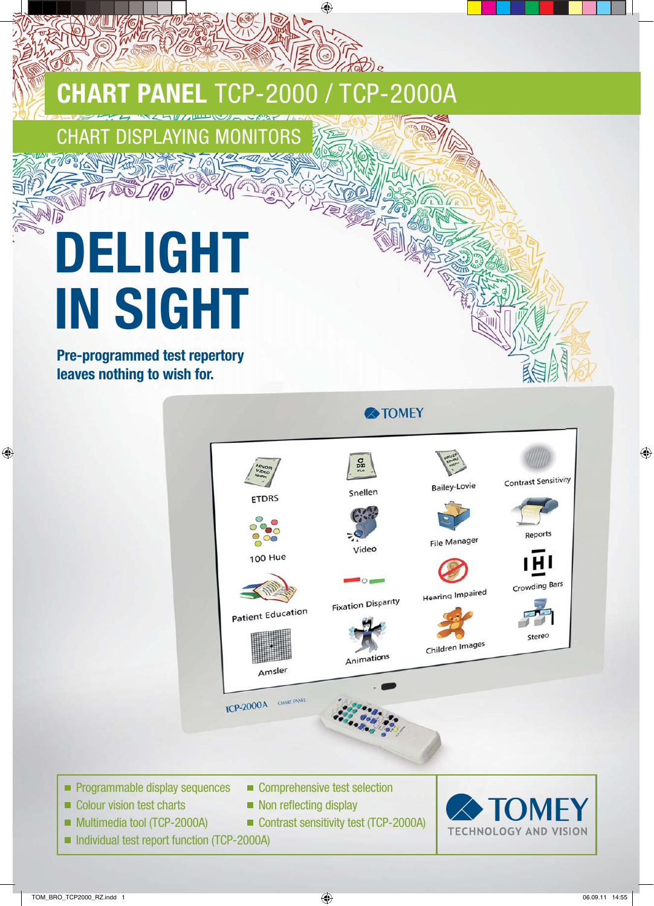## **CHART PANEL** TCP-2000 / TCP-2000A

## **CHART DISPLAYING MONI**

## **DELIGHT IN SIGHT**

**Pre-programmed test repertory leaves nothing to wish for.**

**A**TOMEY  $\frac{C}{DC}$ **Contrast Sensitivity Bailey-Lovie** Snellen **ETDRS** Reports **File Manager** Video **100 Hue** Crowding Bars **Hearing Impaired Fixation Disparity** Patient Education Stereo Children Images Animations Amsler **TCP-2000A** CHART PANEL  $\blacksquare$  Programmable display sequences  $\blacksquare$  Comprehensive test selection  $\Box$  Colour vision test charts  $\Box$  Non reflecting display

- Multimedia tool (TCP-2000A) Contrast sensitivity test (TCP-2000A)
- Individual test report function (TCP-2000A)